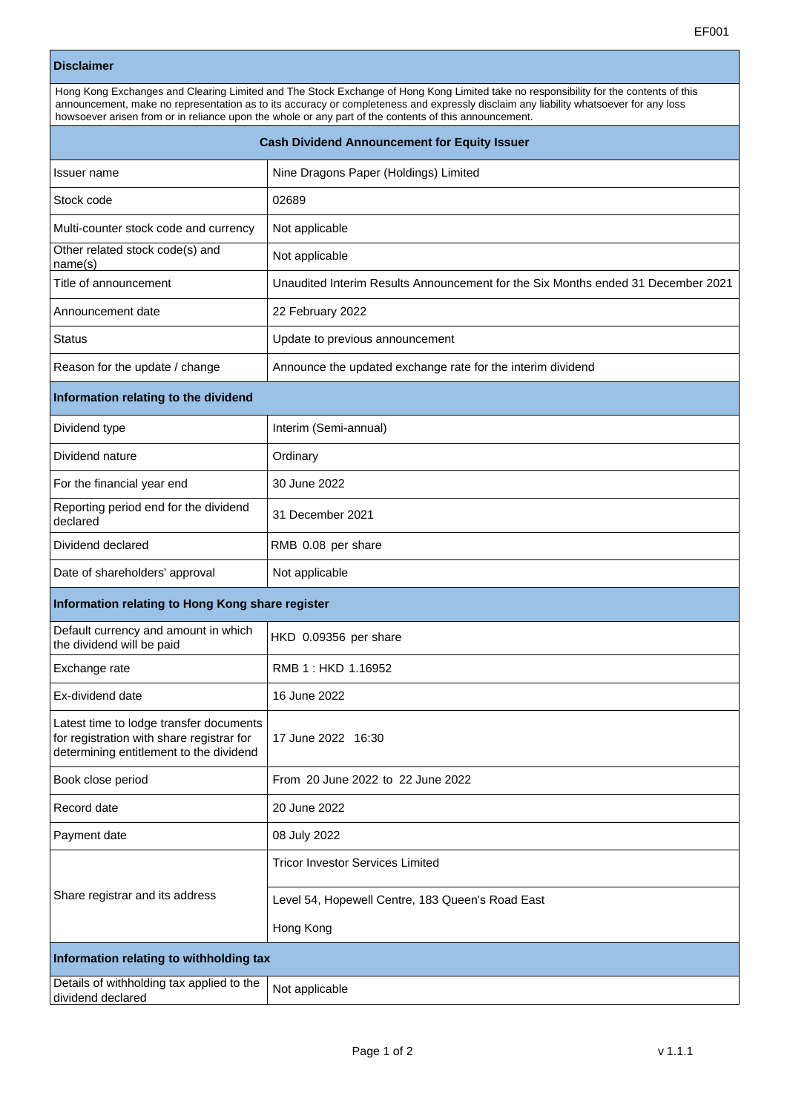## **Disclaimer**

| Hong Kong Exchanges and Clearing Limited and The Stock Exchange of Hong Kong Limited take no responsibility for the contents of this<br>announcement, make no representation as to its accuracy or completeness and expressly disclaim any liability whatsoever for any loss<br>howsoever arisen from or in reliance upon the whole or any part of the contents of this announcement. |                                                                                  |  |
|---------------------------------------------------------------------------------------------------------------------------------------------------------------------------------------------------------------------------------------------------------------------------------------------------------------------------------------------------------------------------------------|----------------------------------------------------------------------------------|--|
| <b>Cash Dividend Announcement for Equity Issuer</b>                                                                                                                                                                                                                                                                                                                                   |                                                                                  |  |
| Issuer name                                                                                                                                                                                                                                                                                                                                                                           | Nine Dragons Paper (Holdings) Limited                                            |  |
| Stock code                                                                                                                                                                                                                                                                                                                                                                            | 02689                                                                            |  |
| Multi-counter stock code and currency                                                                                                                                                                                                                                                                                                                                                 | Not applicable                                                                   |  |
| Other related stock code(s) and<br>name(s)                                                                                                                                                                                                                                                                                                                                            | Not applicable                                                                   |  |
| Title of announcement                                                                                                                                                                                                                                                                                                                                                                 | Unaudited Interim Results Announcement for the Six Months ended 31 December 2021 |  |
| Announcement date                                                                                                                                                                                                                                                                                                                                                                     | 22 February 2022                                                                 |  |
| Status                                                                                                                                                                                                                                                                                                                                                                                | Update to previous announcement                                                  |  |
| Reason for the update / change                                                                                                                                                                                                                                                                                                                                                        | Announce the updated exchange rate for the interim dividend                      |  |
| Information relating to the dividend                                                                                                                                                                                                                                                                                                                                                  |                                                                                  |  |
| Dividend type                                                                                                                                                                                                                                                                                                                                                                         | Interim (Semi-annual)                                                            |  |
| Dividend nature                                                                                                                                                                                                                                                                                                                                                                       | Ordinary                                                                         |  |
| For the financial year end                                                                                                                                                                                                                                                                                                                                                            | 30 June 2022                                                                     |  |
| Reporting period end for the dividend<br>declared                                                                                                                                                                                                                                                                                                                                     | 31 December 2021                                                                 |  |
| Dividend declared                                                                                                                                                                                                                                                                                                                                                                     | RMB 0.08 per share                                                               |  |
| Date of shareholders' approval                                                                                                                                                                                                                                                                                                                                                        | Not applicable                                                                   |  |
| Information relating to Hong Kong share register                                                                                                                                                                                                                                                                                                                                      |                                                                                  |  |
| Default currency and amount in which<br>the dividend will be paid                                                                                                                                                                                                                                                                                                                     | HKD 0.09356 per share                                                            |  |
| Exchange rate                                                                                                                                                                                                                                                                                                                                                                         | RMB 1: HKD 1.16952                                                               |  |
| Ex-dividend date                                                                                                                                                                                                                                                                                                                                                                      | 16 June 2022                                                                     |  |
| Latest time to lodge transfer documents<br>for registration with share registrar for<br>determining entitlement to the dividend                                                                                                                                                                                                                                                       | 17 June 2022 16:30                                                               |  |
| Book close period                                                                                                                                                                                                                                                                                                                                                                     | From 20 June 2022 to 22 June 2022                                                |  |
| Record date                                                                                                                                                                                                                                                                                                                                                                           | 20 June 2022                                                                     |  |
| Payment date                                                                                                                                                                                                                                                                                                                                                                          | 08 July 2022                                                                     |  |
| Share registrar and its address                                                                                                                                                                                                                                                                                                                                                       | Tricor Investor Services Limited                                                 |  |
|                                                                                                                                                                                                                                                                                                                                                                                       | Level 54, Hopewell Centre, 183 Queen's Road East                                 |  |
|                                                                                                                                                                                                                                                                                                                                                                                       | Hong Kong                                                                        |  |
| Information relating to withholding tax                                                                                                                                                                                                                                                                                                                                               |                                                                                  |  |
| Details of withholding tax applied to the<br>dividend declared                                                                                                                                                                                                                                                                                                                        | Not applicable                                                                   |  |